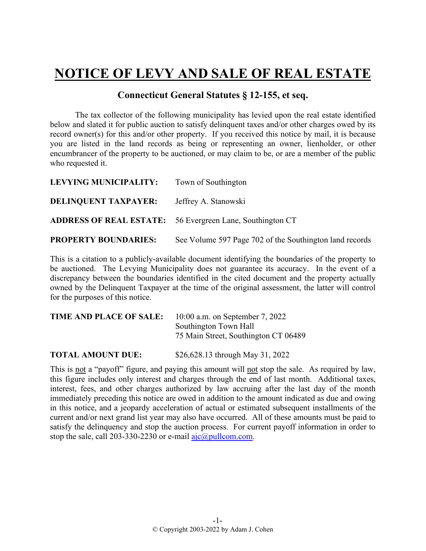## **NOTICE OF LEVY AND SALE OF REAL ESTATE**

## **Connecticut General Statutes § 12-155, et seq.**

The tax collector of the following municipality has levied upon the real estate identified below and slated it for public auction to satisfy delinquent taxes and/or other charges owed by its record owner(s) for this and/or other property. If you received this notice by mail, it is because you are listed in the land records as being or representing an owner, lienholder, or other encumbrancer of the property to be auctioned, or may claim to be, or are a member of the public who requested it.

| LEVYING MUNICIPALITY:       | Town of Southington                                              |
|-----------------------------|------------------------------------------------------------------|
| <b>DELINQUENT TAXPAYER:</b> | Jeffrey A. Stanowski                                             |
|                             | <b>ADDRESS OF REAL ESTATE:</b> 56 Evergreen Lane, Southington CT |
| <b>PROPERTY BOUNDARIES:</b> | See Volume 597 Page 702 of the Southington land records          |

This is a citation to a publicly-available document identifying the boundaries of the property to be auctioned. The Levying Municipality does not guarantee its accuracy. In the event of a discrepancy between the boundaries identified in the cited document and the property actually owned by the Delinquent Taxpayer at the time of the original assessment, the latter will control for the purposes of this notice.

| TIME AND PLACE OF SALE: | $10:00$ a.m. on September 7, 2022    |
|-------------------------|--------------------------------------|
|                         | Southington Town Hall                |
|                         | 75 Main Street, Southington CT 06489 |
|                         |                                      |

**TOTAL AMOUNT DUE:** \$26,628.13 through May 31, 2022

This is not a "payoff" figure, and paying this amount will not stop the sale. As required by law, this figure includes only interest and charges through the end of last month. Additional taxes, interest, fees, and other charges authorized by law accruing after the last day of the month immediately preceding this notice are owed in addition to the amount indicated as due and owing in this notice, and a jeopardy acceleration of actual or estimated subsequent installments of the current and/or next grand list year may also have occurred. All of these amounts must be paid to satisfy the delinquency and stop the auction process. For current payoff information in order to stop the sale, call 203-330-2230 or e-mail  $a$ jc $@p$ ullcom.com.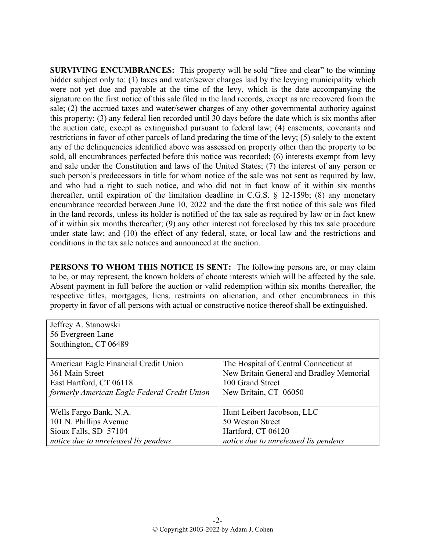**SURVIVING ENCUMBRANCES:** This property will be sold "free and clear" to the winning bidder subject only to: (1) taxes and water/sewer charges laid by the levying municipality which were not yet due and payable at the time of the levy, which is the date accompanying the signature on the first notice of this sale filed in the land records, except as are recovered from the sale; (2) the accrued taxes and water/sewer charges of any other governmental authority against this property; (3) any federal lien recorded until 30 days before the date which is six months after the auction date, except as extinguished pursuant to federal law; (4) easements, covenants and restrictions in favor of other parcels of land predating the time of the levy; (5) solely to the extent any of the delinquencies identified above was assessed on property other than the property to be sold, all encumbrances perfected before this notice was recorded; (6) interests exempt from levy and sale under the Constitution and laws of the United States; (7) the interest of any person or such person's predecessors in title for whom notice of the sale was not sent as required by law, and who had a right to such notice, and who did not in fact know of it within six months thereafter, until expiration of the limitation deadline in C.G.S. § 12-159b; (8) any monetary encumbrance recorded between June 10, 2022 and the date the first notice of this sale was filed in the land records, unless its holder is notified of the tax sale as required by law or in fact knew of it within six months thereafter; (9) any other interest not foreclosed by this tax sale procedure under state law; and (10) the effect of any federal, state, or local law and the restrictions and conditions in the tax sale notices and announced at the auction.

**PERSONS TO WHOM THIS NOTICE IS SENT:** The following persons are, or may claim to be, or may represent, the known holders of choate interests which will be affected by the sale. Absent payment in full before the auction or valid redemption within six months thereafter, the respective titles, mortgages, liens, restraints on alienation, and other encumbrances in this property in favor of all persons with actual or constructive notice thereof shall be extinguished.

| Jeffrey A. Stanowski                         |                                          |
|----------------------------------------------|------------------------------------------|
| 56 Evergreen Lane                            |                                          |
| Southington, CT 06489                        |                                          |
|                                              |                                          |
| American Eagle Financial Credit Union        | The Hospital of Central Connecticut at   |
| 361 Main Street                              | New Britain General and Bradley Memorial |
| East Hartford, CT 06118                      | 100 Grand Street                         |
| formerly American Eagle Federal Credit Union | New Britain, CT 06050                    |
|                                              |                                          |
| Wells Fargo Bank, N.A.                       | Hunt Leibert Jacobson, LLC               |
| 101 N. Phillips Avenue                       | 50 Weston Street                         |
| Sioux Falls, SD 57104                        | Hartford, CT 06120                       |
| notice due to unreleased lis pendens         | notice due to unreleased lis pendens     |